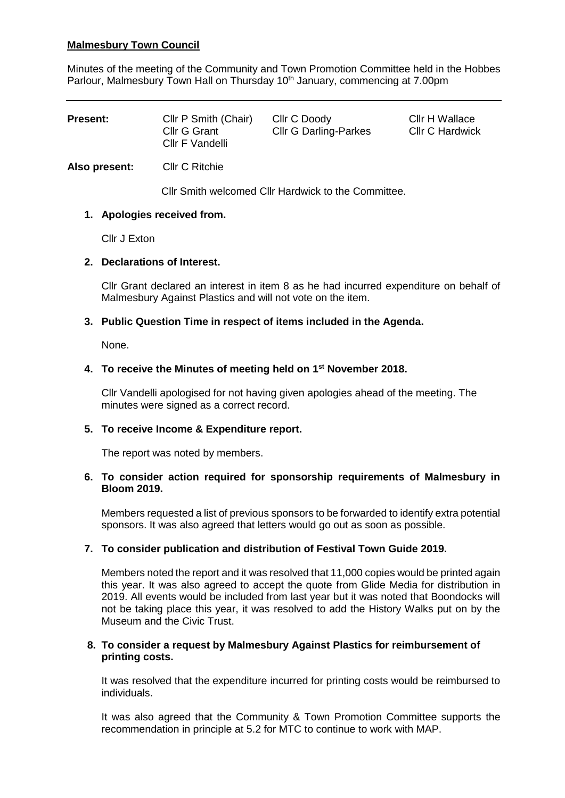# **Malmesbury Town Council**

Minutes of the meeting of the Community and Town Promotion Committee held in the Hobbes Parlour, Malmesbury Town Hall on Thursday 10<sup>th</sup> January, commencing at 7.00pm

| <b>Present:</b> | Cllr P Smith (Chair)<br>Cllr G Grant<br>Cllr F Vandelli | Cllr C Doody<br><b>CIIr G Darling-Parkes</b> | Cllr H Wallace<br><b>Cllr C Hardwick</b> |
|-----------------|---------------------------------------------------------|----------------------------------------------|------------------------------------------|
|                 |                                                         |                                              |                                          |

**Also present:** Cllr C Ritchie

Cllr Smith welcomed Cllr Hardwick to the Committee.

# **1. Apologies received from.**

Cllr J Exton

## **2. Declarations of Interest.**

Cllr Grant declared an interest in item 8 as he had incurred expenditure on behalf of Malmesbury Against Plastics and will not vote on the item.

## **3. Public Question Time in respect of items included in the Agenda.**

None.

## **4. To receive the Minutes of meeting held on 1 st November 2018.**

Cllr Vandelli apologised for not having given apologies ahead of the meeting. The minutes were signed as a correct record.

#### **5. To receive Income & Expenditure report.**

The report was noted by members.

## **6. To consider action required for sponsorship requirements of Malmesbury in Bloom 2019.**

Members requested a list of previous sponsors to be forwarded to identify extra potential sponsors. It was also agreed that letters would go out as soon as possible.

# **7. To consider publication and distribution of Festival Town Guide 2019.**

Members noted the report and it was resolved that 11,000 copies would be printed again this year. It was also agreed to accept the quote from Glide Media for distribution in 2019. All events would be included from last year but it was noted that Boondocks will not be taking place this year, it was resolved to add the History Walks put on by the Museum and the Civic Trust.

#### **8. To consider a request by Malmesbury Against Plastics for reimbursement of printing costs.**

It was resolved that the expenditure incurred for printing costs would be reimbursed to individuals.

It was also agreed that the Community & Town Promotion Committee supports the recommendation in principle at 5.2 for MTC to continue to work with MAP.